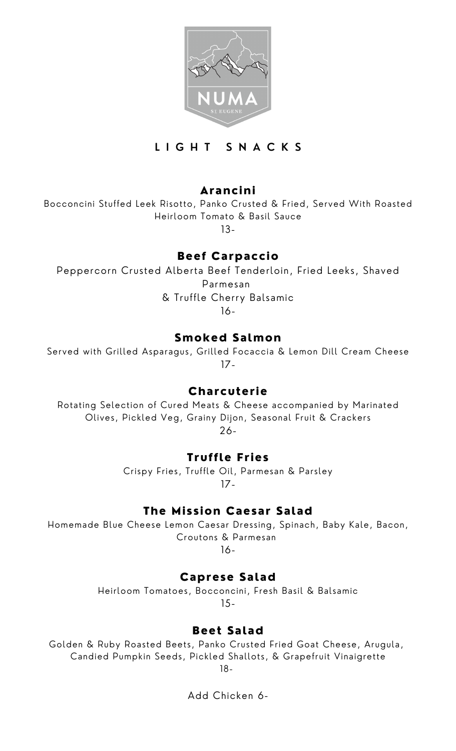

### **L I G H T S N A C K S**

# Arancini

Bocconcini Stuffed Leek Risotto, Panko Crusted & Fried, Served With Roasted Heirloom Tomato & Basil Sauce

13-

# Beef Carpaccio

Peppercorn Crusted Alberta Beef Tenderloin, Fried Leeks, Shaved Parmesan & Truffle Cherry Balsamic

16-

# Smoked Salmon

Served with Grilled Asparagus, Grilled Focaccia & Lemon Dill Cream Cheese 17-

### **Charcuterie**

Rotating Selection of Cured Meats & Cheese accompanied by Marinated Olives, Pickled Veg, Grainy Dijon, Seasonal Fruit & Crackers 26-

# Truffle Fries

Crispy Fries, Truffle Oil, Parmesan & Parsley 17-

# The Mission Caesar Salad

Homemade Blue Cheese Lemon Caesar Dressing, Spinach, Baby Kale, Bacon, Croutons & Parmesan

16-

# Caprese Salad

Heirloom Tomatoes, Bocconcini, Fresh Basil & Balsamic 15-

### Beet Salad

Golden & Ruby Roasted Beets, Panko Crusted Fried Goat Cheese, Arugula, Candied Pumpkin Seeds, Pickled Shallots, & Grapefruit Vinaigrette 18-

Add Chicken 6-